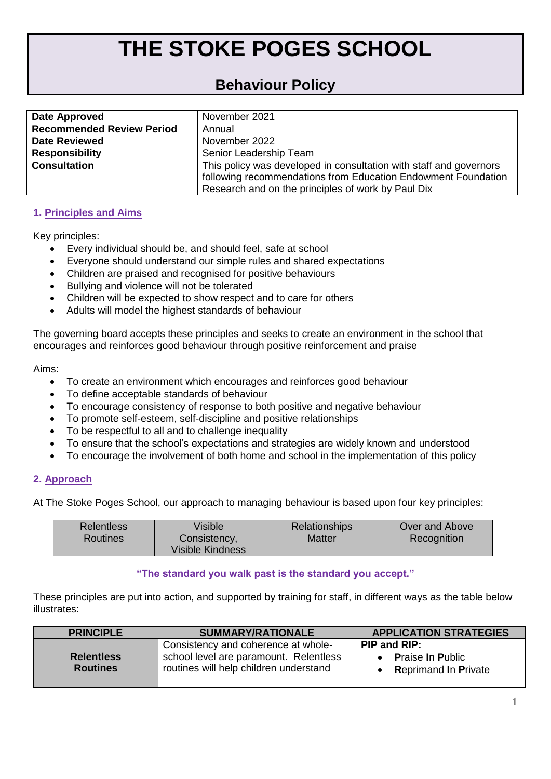## **THE STOKE POGES SCHOOL**

## **Behaviour Policy**

| Date Approved                    | November 2021                                                      |
|----------------------------------|--------------------------------------------------------------------|
| <b>Recommended Review Period</b> | Annual                                                             |
| <b>Date Reviewed</b>             | November 2022                                                      |
| <b>Responsibility</b>            | Senior Leadership Team                                             |
| <b>Consultation</b>              | This policy was developed in consultation with staff and governors |
|                                  | following recommendations from Education Endowment Foundation      |
|                                  | Research and on the principles of work by Paul Dix                 |

#### **1. Principles and Aims**

Key principles:

- Every individual should be, and should feel, safe at school
- Everyone should understand our simple rules and shared expectations
- Children are praised and recognised for positive behaviours
- Bullying and violence will not be tolerated
- Children will be expected to show respect and to care for others
- Adults will model the highest standards of behaviour

The governing board accepts these principles and seeks to create an environment in the school that encourages and reinforces good behaviour through positive reinforcement and praise

Aims:

- To create an environment which encourages and reinforces good behaviour
- To define acceptable standards of behaviour
- To encourage consistency of response to both positive and negative behaviour
- To promote self-esteem, self-discipline and positive relationships
- To be respectful to all and to challenge inequality
- To ensure that the school's expectations and strategies are widely known and understood
- To encourage the involvement of both home and school in the implementation of this policy

#### **2. Approach**

At The Stoke Poges School, our approach to managing behaviour is based upon four key principles:

| <b>Relentless</b> | Visible                                 | <b>Relationships</b> | Over and Above |
|-------------------|-----------------------------------------|----------------------|----------------|
| Routines          | Consistency,<br><b>Visible Kindness</b> | <b>Matter</b>        | Recognition    |

#### **"The standard you walk past is the standard you accept."**

These principles are put into action, and supported by training for staff, in different ways as the table below illustrates:

| <b>PRINCIPLE</b>                     | SUMMARY/RATIONALE                                                                                                       | <b>APPLICATION STRATEGIES</b>                                     |
|--------------------------------------|-------------------------------------------------------------------------------------------------------------------------|-------------------------------------------------------------------|
| <b>Relentless</b><br><b>Routines</b> | Consistency and coherence at whole-<br>school level are paramount. Relentless<br>routines will help children understand | PIP and RIP:<br>• Praise In Public<br><b>Reprimand In Private</b> |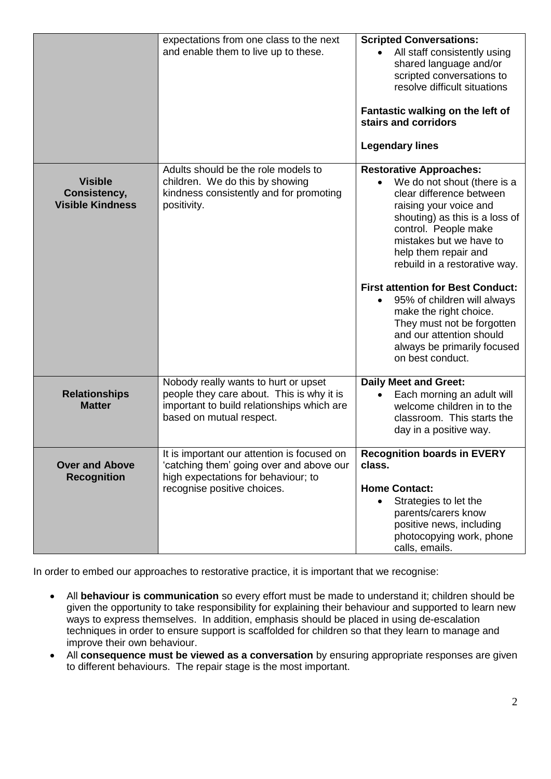|                                                           | expectations from one class to the next<br>and enable them to live up to these.                                                                               | <b>Scripted Conversations:</b><br>All staff consistently using<br>shared language and/or<br>scripted conversations to<br>resolve difficult situations<br>Fantastic walking on the left of<br>stairs and corridors<br><b>Legendary lines</b>                                                                                                                                                                                                                                         |
|-----------------------------------------------------------|---------------------------------------------------------------------------------------------------------------------------------------------------------------|-------------------------------------------------------------------------------------------------------------------------------------------------------------------------------------------------------------------------------------------------------------------------------------------------------------------------------------------------------------------------------------------------------------------------------------------------------------------------------------|
| <b>Visible</b><br>Consistency,<br><b>Visible Kindness</b> | Adults should be the role models to<br>children. We do this by showing<br>kindness consistently and for promoting<br>positivity.                              | <b>Restorative Approaches:</b><br>We do not shout (there is a<br>clear difference between<br>raising your voice and<br>shouting) as this is a loss of<br>control. People make<br>mistakes but we have to<br>help them repair and<br>rebuild in a restorative way.<br><b>First attention for Best Conduct:</b><br>95% of children will always<br>make the right choice.<br>They must not be forgotten<br>and our attention should<br>always be primarily focused<br>on best conduct. |
| <b>Relationships</b><br><b>Matter</b>                     | Nobody really wants to hurt or upset<br>people they care about. This is why it is<br>important to build relationships which are<br>based on mutual respect.   | <b>Daily Meet and Greet:</b><br>Each morning an adult will<br>welcome children in to the<br>classroom. This starts the<br>day in a positive way.                                                                                                                                                                                                                                                                                                                                    |
| <b>Over and Above</b><br><b>Recognition</b>               | It is important our attention is focused on<br>'catching them' going over and above our<br>high expectations for behaviour; to<br>recognise positive choices. | <b>Recognition boards in EVERY</b><br>class.<br><b>Home Contact:</b><br>Strategies to let the<br>$\bullet$<br>parents/carers know<br>positive news, including<br>photocopying work, phone<br>calls, emails.                                                                                                                                                                                                                                                                         |

In order to embed our approaches to restorative practice, it is important that we recognise:

- All **behaviour is communication** so every effort must be made to understand it; children should be given the opportunity to take responsibility for explaining their behaviour and supported to learn new ways to express themselves. In addition, emphasis should be placed in using de-escalation techniques in order to ensure support is scaffolded for children so that they learn to manage and improve their own behaviour.
- All **consequence must be viewed as a conversation** by ensuring appropriate responses are given to different behaviours. The repair stage is the most important.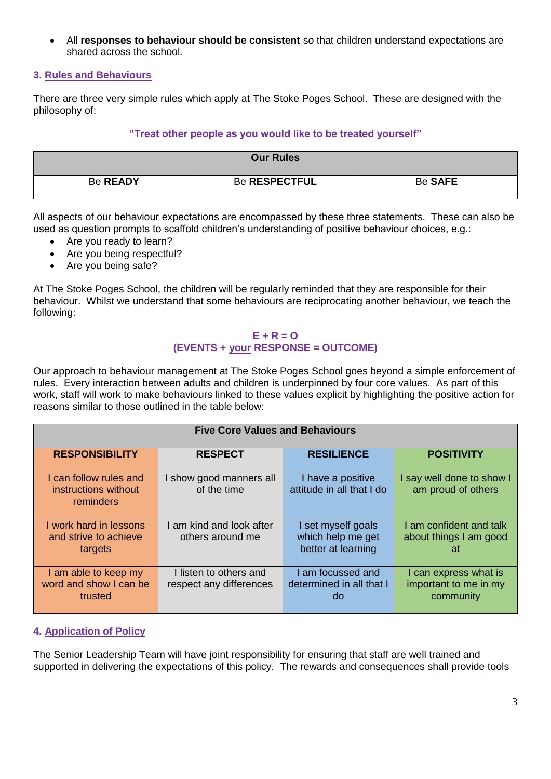• All **responses to behaviour should be consistent** so that children understand expectations are shared across the school.

#### **3. Rules and Behaviours**

There are three very simple rules which apply at The Stoke Poges School. These are designed with the philosophy of:

#### **"Treat other people as you would like to be treated yourself"**

| <b>Our Rules</b> |                      |         |
|------------------|----------------------|---------|
| <b>Be READY</b>  | <b>Be RESPECTFUL</b> | Be SAFE |

All aspects of our behaviour expectations are encompassed by these three statements. These can also be used as question prompts to scaffold children's understanding of positive behaviour choices, e.g.:

- Are you ready to learn?
- Are you being respectful?
- Are you being safe?

At The Stoke Poges School, the children will be regularly reminded that they are responsible for their behaviour. Whilst we understand that some behaviours are reciprocating another behaviour, we teach the following:

#### **E + R = O (EVENTS + your RESPONSE = OUTCOME)**

Our approach to behaviour management at The Stoke Poges School goes beyond a simple enforcement of rules. Every interaction between adults and children is underpinned by four core values. As part of this work, staff will work to make behaviours linked to these values explicit by highlighting the positive action for reasons similar to those outlined in the table below:

| <b>Five Core Values and Behaviours</b>                      |                                                   |                                                               |                                                             |
|-------------------------------------------------------------|---------------------------------------------------|---------------------------------------------------------------|-------------------------------------------------------------|
| <b>RESPONSIBILITY</b>                                       | <b>RESPECT</b>                                    | <b>RESILIENCE</b>                                             | <b>POSITIVITY</b>                                           |
| I can follow rules and<br>instructions without<br>reminders | show good manners all<br>of the time              | I have a positive<br>attitude in all that I do                | I say well done to show I<br>am proud of others             |
| I work hard in lessons<br>and strive to achieve<br>targets  | I am kind and look after<br>others around me      | I set myself goals<br>which help me get<br>better at learning | I am confident and talk<br>about things I am good<br>at     |
| I am able to keep my<br>word and show I can be<br>trusted   | I listen to others and<br>respect any differences | I am focussed and<br>determined in all that I<br>do           | I can express what is<br>important to me in my<br>community |

#### **4. Application of Policy**

The Senior Leadership Team will have joint responsibility for ensuring that staff are well trained and supported in delivering the expectations of this policy. The rewards and consequences shall provide tools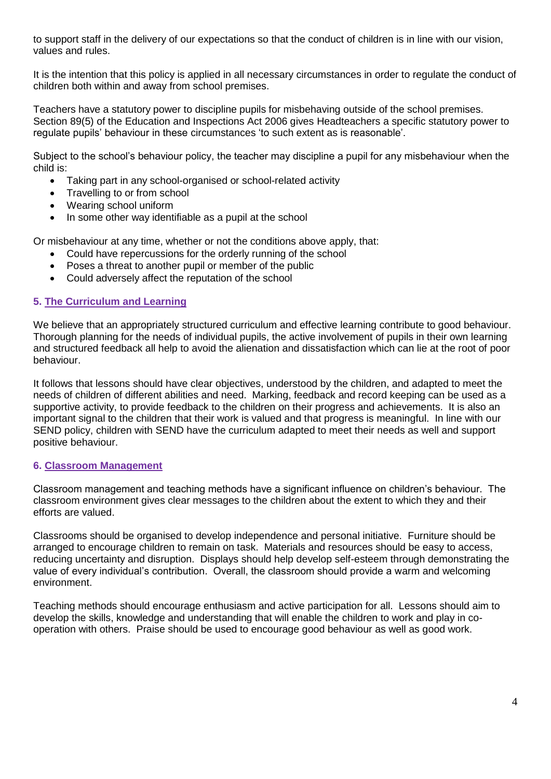to support staff in the delivery of our expectations so that the conduct of children is in line with our vision, values and rules.

It is the intention that this policy is applied in all necessary circumstances in order to regulate the conduct of children both within and away from school premises.

Teachers have a statutory power to discipline pupils for misbehaving outside of the school premises. Section 89(5) of the Education and Inspections Act 2006 gives Headteachers a specific statutory power to regulate pupils' behaviour in these circumstances 'to such extent as is reasonable'.

Subject to the school's behaviour policy, the teacher may discipline a pupil for any misbehaviour when the child is:

- Taking part in any school-organised or school-related activity
- Travelling to or from school
- Wearing school uniform
- In some other way identifiable as a pupil at the school

Or misbehaviour at any time, whether or not the conditions above apply, that:

- Could have repercussions for the orderly running of the school
- Poses a threat to another pupil or member of the public
- Could adversely affect the reputation of the school

#### **5. The Curriculum and Learning**

We believe that an appropriately structured curriculum and effective learning contribute to good behaviour. Thorough planning for the needs of individual pupils, the active involvement of pupils in their own learning and structured feedback all help to avoid the alienation and dissatisfaction which can lie at the root of poor behaviour.

It follows that lessons should have clear objectives, understood by the children, and adapted to meet the needs of children of different abilities and need. Marking, feedback and record keeping can be used as a supportive activity, to provide feedback to the children on their progress and achievements. It is also an important signal to the children that their work is valued and that progress is meaningful. In line with our SEND policy, children with SEND have the curriculum adapted to meet their needs as well and support positive behaviour.

#### **6. Classroom Management**

Classroom management and teaching methods have a significant influence on children's behaviour. The classroom environment gives clear messages to the children about the extent to which they and their efforts are valued.

Classrooms should be organised to develop independence and personal initiative. Furniture should be arranged to encourage children to remain on task. Materials and resources should be easy to access, reducing uncertainty and disruption. Displays should help develop self-esteem through demonstrating the value of every individual's contribution. Overall, the classroom should provide a warm and welcoming environment.

Teaching methods should encourage enthusiasm and active participation for all. Lessons should aim to develop the skills, knowledge and understanding that will enable the children to work and play in cooperation with others. Praise should be used to encourage good behaviour as well as good work.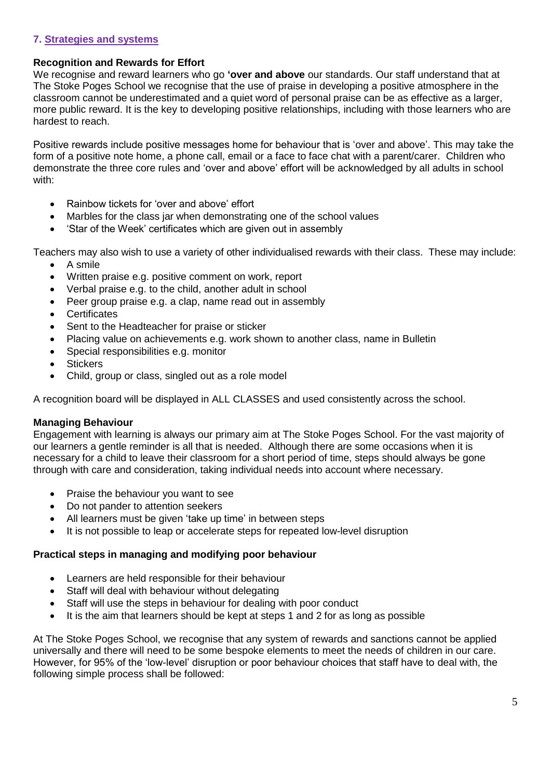#### **7. Strategies and systems**

#### **Recognition and Rewards for Effort**

We recognise and reward learners who go **'over and above** our standards. Our staff understand that at The Stoke Poges School we recognise that the use of praise in developing a positive atmosphere in the classroom cannot be underestimated and a quiet word of personal praise can be as effective as a larger, more public reward. It is the key to developing positive relationships, including with those learners who are hardest to reach.

Positive rewards include positive messages home for behaviour that is 'over and above'. This may take the form of a positive note home, a phone call, email or a face to face chat with a parent/carer. Children who demonstrate the three core rules and 'over and above' effort will be acknowledged by all adults in school with:

- Rainbow tickets for 'over and above' effort
- Marbles for the class jar when demonstrating one of the school values
- 'Star of the Week' certificates which are given out in assembly

Teachers may also wish to use a variety of other individualised rewards with their class. These may include:

- A smile
- Written praise e.g. positive comment on work, report
- Verbal praise e.g. to the child, another adult in school
- Peer group praise e.g. a clap, name read out in assembly
- **Certificates**
- Sent to the Headteacher for praise or sticker
- Placing value on achievements e.g. work shown to another class, name in Bulletin
- Special responsibilities e.g. monitor
- **Stickers**
- Child, group or class, singled out as a role model

A recognition board will be displayed in ALL CLASSES and used consistently across the school.

#### **Managing Behaviour**

Engagement with learning is always our primary aim at The Stoke Poges School. For the vast majority of our learners a gentle reminder is all that is needed. Although there are some occasions when it is necessary for a child to leave their classroom for a short period of time, steps should always be gone through with care and consideration, taking individual needs into account where necessary.

- Praise the behaviour you want to see
- Do not pander to attention seekers
- All learners must be given 'take up time' in between steps
- It is not possible to leap or accelerate steps for repeated low-level disruption

#### **Practical steps in managing and modifying poor behaviour**

- Learners are held responsible for their behaviour
- Staff will deal with behaviour without delegating
- Staff will use the steps in behaviour for dealing with poor conduct
- It is the aim that learners should be kept at steps 1 and 2 for as long as possible

At The Stoke Poges School, we recognise that any system of rewards and sanctions cannot be applied universally and there will need to be some bespoke elements to meet the needs of children in our care. However, for 95% of the 'low-level' disruption or poor behaviour choices that staff have to deal with, the following simple process shall be followed: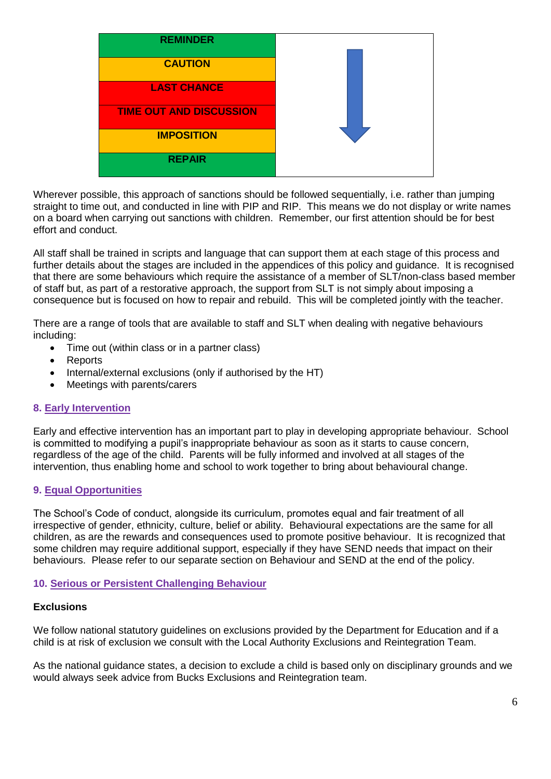

Wherever possible, this approach of sanctions should be followed sequentially, i.e. rather than jumping straight to time out, and conducted in line with PIP and RIP. This means we do not display or write names on a board when carrying out sanctions with children. Remember, our first attention should be for best effort and conduct.

All staff shall be trained in scripts and language that can support them at each stage of this process and further details about the stages are included in the appendices of this policy and guidance. It is recognised that there are some behaviours which require the assistance of a member of SLT/non-class based member of staff but, as part of a restorative approach, the support from SLT is not simply about imposing a consequence but is focused on how to repair and rebuild. This will be completed jointly with the teacher.

There are a range of tools that are available to staff and SLT when dealing with negative behaviours including:

- Time out (within class or in a partner class)
- Reports
- Internal/external exclusions (only if authorised by the HT)
- Meetings with parents/carers

#### **8. Early Intervention**

Early and effective intervention has an important part to play in developing appropriate behaviour. School is committed to modifying a pupil's inappropriate behaviour as soon as it starts to cause concern, regardless of the age of the child. Parents will be fully informed and involved at all stages of the intervention, thus enabling home and school to work together to bring about behavioural change.

#### **9. Equal Opportunities**

The School's Code of conduct, alongside its curriculum, promotes equal and fair treatment of all irrespective of gender, ethnicity, culture, belief or ability. Behavioural expectations are the same for all children, as are the rewards and consequences used to promote positive behaviour. It is recognized that some children may require additional support, especially if they have SEND needs that impact on their behaviours. Please refer to our separate section on Behaviour and SEND at the end of the policy.

#### **10. Serious or Persistent Challenging Behaviour**

#### **Exclusions**

We follow national statutory guidelines on exclusions provided by the Department for Education and if a child is at risk of exclusion we consult with the Local Authority Exclusions and Reintegration Team.

As the national guidance states, a decision to exclude a child is based only on disciplinary grounds and we would always seek advice from Bucks Exclusions and Reintegration team.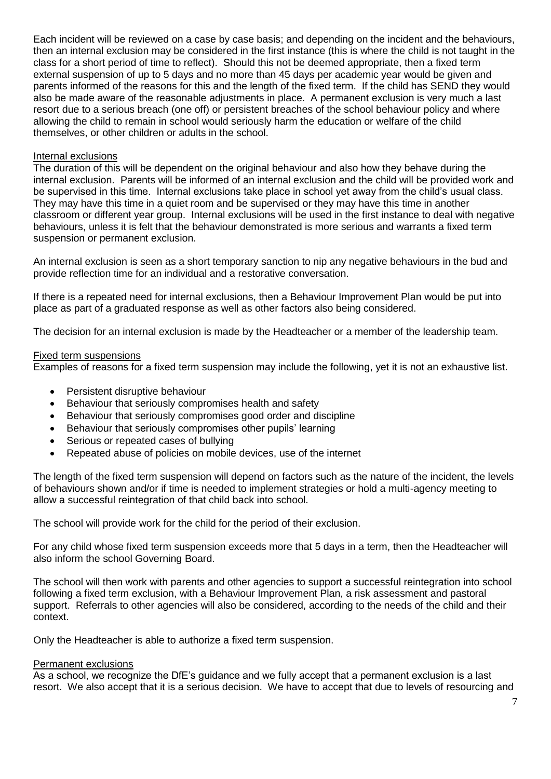Each incident will be reviewed on a case by case basis; and depending on the incident and the behaviours, then an internal exclusion may be considered in the first instance (this is where the child is not taught in the class for a short period of time to reflect). Should this not be deemed appropriate, then a fixed term external suspension of up to 5 days and no more than 45 days per academic year would be given and parents informed of the reasons for this and the length of the fixed term. If the child has SEND they would also be made aware of the reasonable adjustments in place. A permanent exclusion is very much a last resort due to a serious breach (one off) or persistent breaches of the school behaviour policy and where allowing the child to remain in school would seriously harm the education or welfare of the child themselves, or other children or adults in the school.

#### Internal exclusions

The duration of this will be dependent on the original behaviour and also how they behave during the internal exclusion. Parents will be informed of an internal exclusion and the child will be provided work and be supervised in this time. Internal exclusions take place in school yet away from the child's usual class. They may have this time in a quiet room and be supervised or they may have this time in another classroom or different year group. Internal exclusions will be used in the first instance to deal with negative behaviours, unless it is felt that the behaviour demonstrated is more serious and warrants a fixed term suspension or permanent exclusion.

An internal exclusion is seen as a short temporary sanction to nip any negative behaviours in the bud and provide reflection time for an individual and a restorative conversation.

If there is a repeated need for internal exclusions, then a Behaviour Improvement Plan would be put into place as part of a graduated response as well as other factors also being considered.

The decision for an internal exclusion is made by the Headteacher or a member of the leadership team.

#### Fixed term suspensions

Examples of reasons for a fixed term suspension may include the following, yet it is not an exhaustive list.

- Persistent disruptive behaviour
- Behaviour that seriously compromises health and safety
- Behaviour that seriously compromises good order and discipline
- Behaviour that seriously compromises other pupils' learning
- Serious or repeated cases of bullying
- Repeated abuse of policies on mobile devices, use of the internet

The length of the fixed term suspension will depend on factors such as the nature of the incident, the levels of behaviours shown and/or if time is needed to implement strategies or hold a multi-agency meeting to allow a successful reintegration of that child back into school.

The school will provide work for the child for the period of their exclusion.

For any child whose fixed term suspension exceeds more that 5 days in a term, then the Headteacher will also inform the school Governing Board.

The school will then work with parents and other agencies to support a successful reintegration into school following a fixed term exclusion, with a Behaviour Improvement Plan, a risk assessment and pastoral support. Referrals to other agencies will also be considered, according to the needs of the child and their context.

Only the Headteacher is able to authorize a fixed term suspension.

#### Permanent exclusions

As a school, we recognize the DfE's guidance and we fully accept that a permanent exclusion is a last resort. We also accept that it is a serious decision. We have to accept that due to levels of resourcing and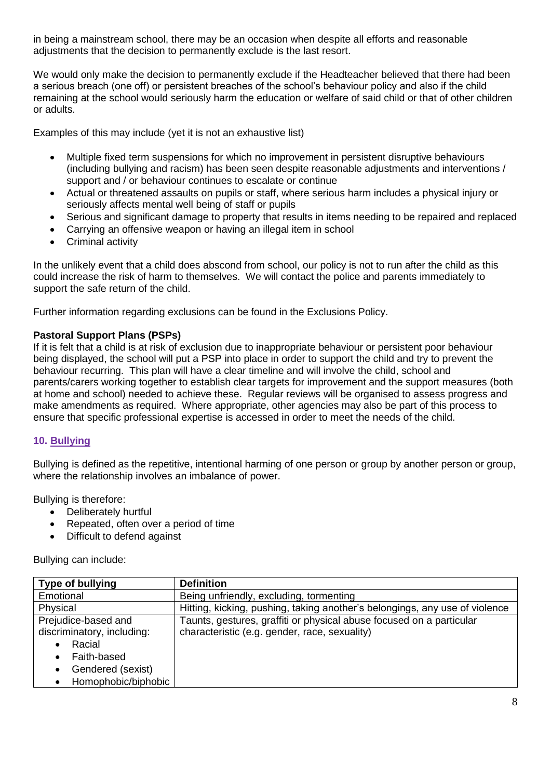in being a mainstream school, there may be an occasion when despite all efforts and reasonable adjustments that the decision to permanently exclude is the last resort.

We would only make the decision to permanently exclude if the Headteacher believed that there had been a serious breach (one off) or persistent breaches of the school's behaviour policy and also if the child remaining at the school would seriously harm the education or welfare of said child or that of other children or adults.

Examples of this may include (yet it is not an exhaustive list)

- Multiple fixed term suspensions for which no improvement in persistent disruptive behaviours (including bullying and racism) has been seen despite reasonable adjustments and interventions / support and / or behaviour continues to escalate or continue
- Actual or threatened assaults on pupils or staff, where serious harm includes a physical injury or seriously affects mental well being of staff or pupils
- Serious and significant damage to property that results in items needing to be repaired and replaced
- Carrying an offensive weapon or having an illegal item in school
- Criminal activity

In the unlikely event that a child does abscond from school, our policy is not to run after the child as this could increase the risk of harm to themselves. We will contact the police and parents immediately to support the safe return of the child.

Further information regarding exclusions can be found in the Exclusions Policy.

#### **Pastoral Support Plans (PSPs)**

If it is felt that a child is at risk of exclusion due to inappropriate behaviour or persistent poor behaviour being displayed, the school will put a PSP into place in order to support the child and try to prevent the behaviour recurring. This plan will have a clear timeline and will involve the child, school and parents/carers working together to establish clear targets for improvement and the support measures (both at home and school) needed to achieve these. Regular reviews will be organised to assess progress and make amendments as required. Where appropriate, other agencies may also be part of this process to ensure that specific professional expertise is accessed in order to meet the needs of the child.

#### **10. Bullying**

Bullying is defined as the repetitive, intentional harming of one person or group by another person or group, where the relationship involves an imbalance of power.

Bullying is therefore:

- Deliberately hurtful
- Repeated, often over a period of time
- Difficult to defend against

Bullying can include:

| Type of bullying               | <b>Definition</b>                                                           |
|--------------------------------|-----------------------------------------------------------------------------|
| Emotional                      | Being unfriendly, excluding, tormenting                                     |
| Physical                       | Hitting, kicking, pushing, taking another's belongings, any use of violence |
| Prejudice-based and            | Taunts, gestures, graffiti or physical abuse focused on a particular        |
| discriminatory, including:     | characteristic (e.g. gender, race, sexuality)                               |
| Racial                         |                                                                             |
| Faith-based<br>$\bullet$       |                                                                             |
| Gendered (sexist)<br>$\bullet$ |                                                                             |
| Homophobic/biphobic            |                                                                             |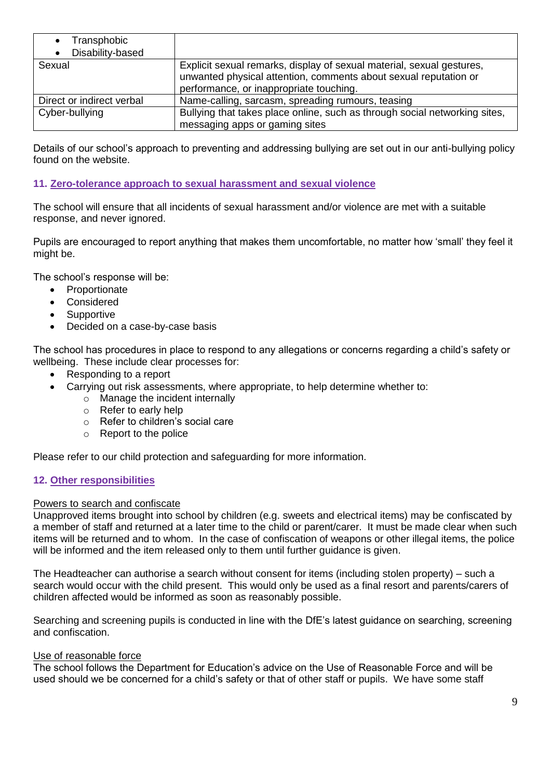| Transphobic<br>$\bullet$<br>Disability-based |                                                                                                                                                                                      |
|----------------------------------------------|--------------------------------------------------------------------------------------------------------------------------------------------------------------------------------------|
| Sexual                                       | Explicit sexual remarks, display of sexual material, sexual gestures,<br>unwanted physical attention, comments about sexual reputation or<br>performance, or inappropriate touching. |
| Direct or indirect verbal                    | Name-calling, sarcasm, spreading rumours, teasing                                                                                                                                    |
| Cyber-bullying                               | Bullying that takes place online, such as through social networking sites,<br>messaging apps or gaming sites                                                                         |

Details of our school's approach to preventing and addressing bullying are set out in our anti-bullying policy found on the website.

#### **11. Zero-tolerance approach to sexual harassment and sexual violence**

The school will ensure that all incidents of sexual harassment and/or violence are met with a suitable response, and never ignored.

Pupils are encouraged to report anything that makes them uncomfortable, no matter how 'small' they feel it might be.

The school's response will be:

- Proportionate
- Considered
- Supportive
- Decided on a case-by-case basis

The school has procedures in place to respond to any allegations or concerns regarding a child's safety or wellbeing. These include clear processes for:

- Responding to a report
- Carrying out risk assessments, where appropriate, to help determine whether to:
	- o Manage the incident internally
		- o Refer to early help
		- o Refer to children's social care
		- o Report to the police

Please refer to our child protection and safeguarding for more information.

#### **12. Other responsibilities**

#### Powers to search and confiscate

Unapproved items brought into school by children (e.g. sweets and electrical items) may be confiscated by a member of staff and returned at a later time to the child or parent/carer. It must be made clear when such items will be returned and to whom. In the case of confiscation of weapons or other illegal items, the police will be informed and the item released only to them until further guidance is given.

The Headteacher can authorise a search without consent for items (including stolen property) – such a search would occur with the child present. This would only be used as a final resort and parents/carers of children affected would be informed as soon as reasonably possible.

Searching and screening pupils is conducted in line with the DfE's latest guidance on searching, screening and confiscation.

#### Use of reasonable force

The school follows the Department for Education's advice on the Use of Reasonable Force and will be used should we be concerned for a child's safety or that of other staff or pupils. We have some staff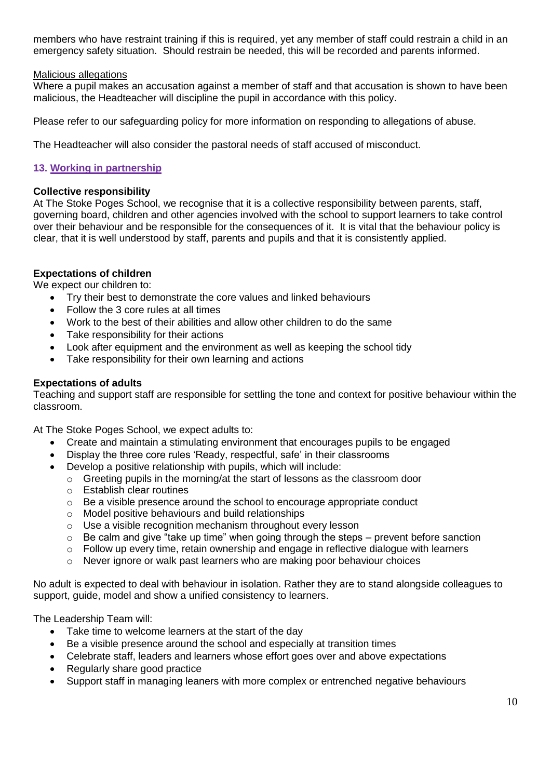members who have restraint training if this is required, yet any member of staff could restrain a child in an emergency safety situation. Should restrain be needed, this will be recorded and parents informed.

#### Malicious allegations

Where a pupil makes an accusation against a member of staff and that accusation is shown to have been malicious, the Headteacher will discipline the pupil in accordance with this policy.

Please refer to our safeguarding policy for more information on responding to allegations of abuse.

The Headteacher will also consider the pastoral needs of staff accused of misconduct.

#### **13. Working in partnership**

#### **Collective responsibility**

At The Stoke Poges School, we recognise that it is a collective responsibility between parents, staff, governing board, children and other agencies involved with the school to support learners to take control over their behaviour and be responsible for the consequences of it. It is vital that the behaviour policy is clear, that it is well understood by staff, parents and pupils and that it is consistently applied.

#### **Expectations of children**

We expect our children to:

- Try their best to demonstrate the core values and linked behaviours
- Follow the 3 core rules at all times
- Work to the best of their abilities and allow other children to do the same
- Take responsibility for their actions
- Look after equipment and the environment as well as keeping the school tidy
- Take responsibility for their own learning and actions

#### **Expectations of adults**

Teaching and support staff are responsible for settling the tone and context for positive behaviour within the classroom.

At The Stoke Poges School, we expect adults to:

- Create and maintain a stimulating environment that encourages pupils to be engaged
- Display the three core rules 'Ready, respectful, safe' in their classrooms
- Develop a positive relationship with pupils, which will include:
	- o Greeting pupils in the morning/at the start of lessons as the classroom door
	- o Establish clear routines
	- o Be a visible presence around the school to encourage appropriate conduct
	- o Model positive behaviours and build relationships
	- o Use a visible recognition mechanism throughout every lesson
	- $\circ$  Be calm and give "take up time" when going through the steps prevent before sanction
	- o Follow up every time, retain ownership and engage in reflective dialogue with learners
	- $\circ$  Never ignore or walk past learners who are making poor behaviour choices

No adult is expected to deal with behaviour in isolation. Rather they are to stand alongside colleagues to support, guide, model and show a unified consistency to learners.

The Leadership Team will:

- Take time to welcome learners at the start of the day
- Be a visible presence around the school and especially at transition times
- Celebrate staff, leaders and learners whose effort goes over and above expectations
- Regularly share good practice
- Support staff in managing leaners with more complex or entrenched negative behaviours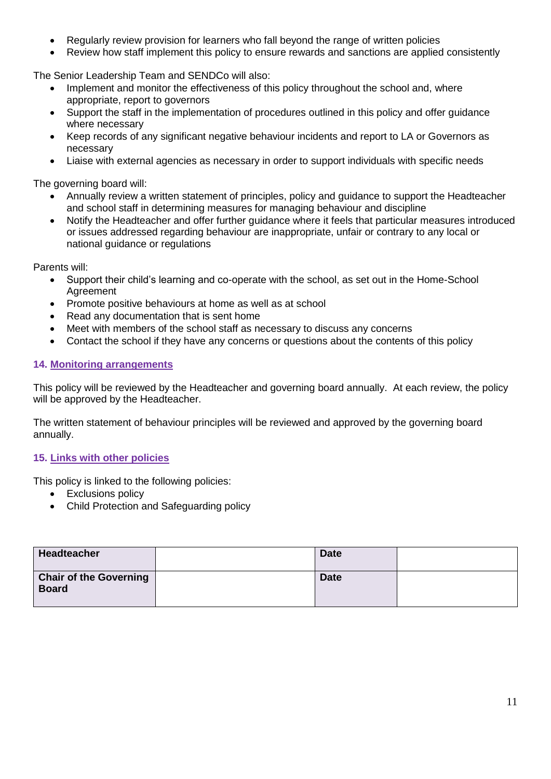- Regularly review provision for learners who fall beyond the range of written policies
- Review how staff implement this policy to ensure rewards and sanctions are applied consistently

The Senior Leadership Team and SENDCo will also:

- Implement and monitor the effectiveness of this policy throughout the school and, where appropriate, report to governors
- Support the staff in the implementation of procedures outlined in this policy and offer guidance where necessary
- Keep records of any significant negative behaviour incidents and report to LA or Governors as necessary
- Liaise with external agencies as necessary in order to support individuals with specific needs

The governing board will:

- Annually review a written statement of principles, policy and guidance to support the Headteacher and school staff in determining measures for managing behaviour and discipline
- Notify the Headteacher and offer further guidance where it feels that particular measures introduced or issues addressed regarding behaviour are inappropriate, unfair or contrary to any local or national guidance or regulations

Parents will:

- Support their child's learning and co-operate with the school, as set out in the Home-School Agreement
- Promote positive behaviours at home as well as at school
- Read any documentation that is sent home
- Meet with members of the school staff as necessary to discuss any concerns
- Contact the school if they have any concerns or questions about the contents of this policy

#### **14. Monitoring arrangements**

This policy will be reviewed by the Headteacher and governing board annually. At each review, the policy will be approved by the Headteacher.

The written statement of behaviour principles will be reviewed and approved by the governing board annually.

#### **15. Links with other policies**

This policy is linked to the following policies:

- Exclusions policy
- Child Protection and Safeguarding policy

| Headteacher                                   | <b>Date</b> |  |
|-----------------------------------------------|-------------|--|
| <b>Chair of the Governing</b><br><b>Board</b> | <b>Date</b> |  |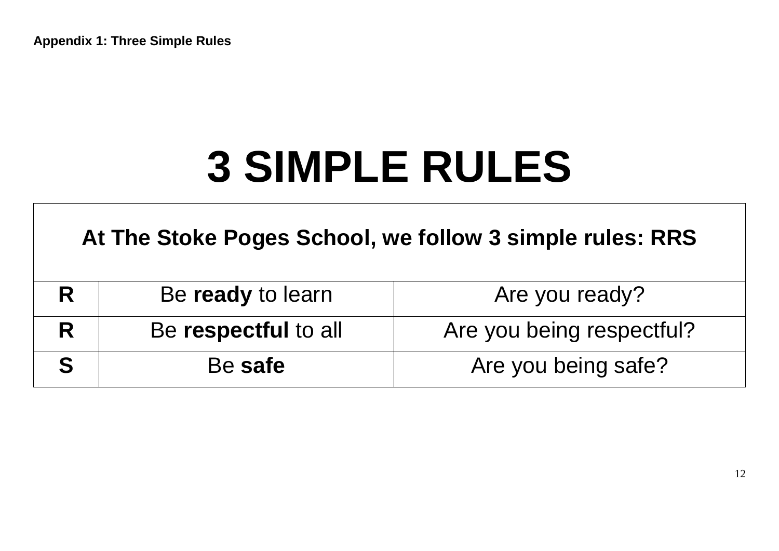**Appendix 1: Three Simple Rules**

# **3 SIMPLE RULES**

| At The Stoke Poges School, we follow 3 simple rules: RRS |                      |                           |
|----------------------------------------------------------|----------------------|---------------------------|
| R                                                        | Be ready to learn    | Are you ready?            |
| R                                                        | Be respectful to all | Are you being respectful? |
| S                                                        | Be safe              | Are you being safe?       |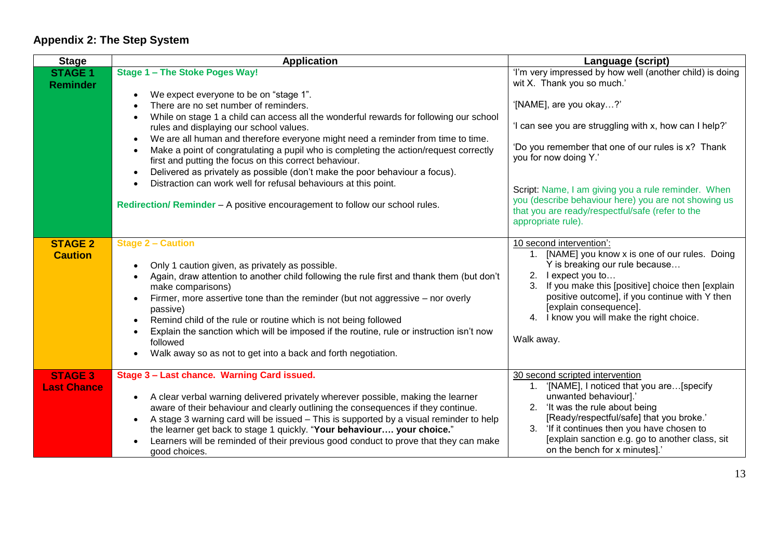## **Appendix 2: The Step System**

| <b>Stage</b>                         | <b>Application</b>                                                                                                                                                                                                                                                                                                                                                                                                                                                                                                                                                                                                                                                                                                                                                                       | Language (script)                                                                                                                                                                                                                                                                                                                                         |
|--------------------------------------|------------------------------------------------------------------------------------------------------------------------------------------------------------------------------------------------------------------------------------------------------------------------------------------------------------------------------------------------------------------------------------------------------------------------------------------------------------------------------------------------------------------------------------------------------------------------------------------------------------------------------------------------------------------------------------------------------------------------------------------------------------------------------------------|-----------------------------------------------------------------------------------------------------------------------------------------------------------------------------------------------------------------------------------------------------------------------------------------------------------------------------------------------------------|
| <b>STAGE 1</b><br><b>Reminder</b>    | Stage 1 - The Stoke Poges Way!                                                                                                                                                                                                                                                                                                                                                                                                                                                                                                                                                                                                                                                                                                                                                           | 'I'm very impressed by how well (another child) is doing<br>wit X. Thank you so much.'                                                                                                                                                                                                                                                                    |
|                                      | We expect everyone to be on "stage 1".<br>$\bullet$<br>There are no set number of reminders.<br>$\bullet$<br>While on stage 1 a child can access all the wonderful rewards for following our school<br>$\bullet$<br>rules and displaying our school values.<br>We are all human and therefore everyone might need a reminder from time to time.<br>$\bullet$<br>Make a point of congratulating a pupil who is completing the action/request correctly<br>$\bullet$<br>first and putting the focus on this correct behaviour.<br>Delivered as privately as possible (don't make the poor behaviour a focus).<br>$\bullet$<br>Distraction can work well for refusal behaviours at this point.<br>$\bullet$<br>Redirection/ Reminder - A positive encouragement to follow our school rules. | '[NAME], are you okay?'<br>'I can see you are struggling with x, how can I help?'<br>'Do you remember that one of our rules is x? Thank<br>you for now doing Y.'<br>Script: Name, I am giving you a rule reminder. When<br>you (describe behaviour here) you are not showing us<br>that you are ready/respectful/safe (refer to the<br>appropriate rule). |
| <b>STAGE 2</b><br><b>Caution</b>     | <b>Stage 2 - Caution</b><br>Only 1 caution given, as privately as possible.<br>$\bullet$<br>Again, draw attention to another child following the rule first and thank them (but don't<br>$\bullet$<br>make comparisons)<br>Firmer, more assertive tone than the reminder (but not aggressive – nor overly<br>$\bullet$<br>passive)<br>Remind child of the rule or routine which is not being followed<br>$\bullet$<br>Explain the sanction which will be imposed if the routine, rule or instruction isn't now<br>$\bullet$<br>followed<br>Walk away so as not to get into a back and forth negotiation.<br>$\bullet$                                                                                                                                                                    | 10 second intervention':<br>1. [NAME] you know x is one of our rules. Doing<br>Y is breaking our rule because<br>I expect you to<br>2.<br>If you make this [positive] choice then [explain<br>3.<br>positive outcome], if you continue with Y then<br>[explain consequence].<br>4. I know you will make the right choice.<br>Walk away.                   |
| <b>STAGE 3</b><br><b>Last Chance</b> | Stage 3 - Last chance. Warning Card issued.<br>A clear verbal warning delivered privately wherever possible, making the learner<br>$\bullet$<br>aware of their behaviour and clearly outlining the consequences if they continue.<br>A stage 3 warning card will be issued - This is supported by a visual reminder to help<br>$\bullet$<br>the learner get back to stage 1 quickly. "Your behaviour your choice."<br>Learners will be reminded of their previous good conduct to prove that they can make<br>good choices.                                                                                                                                                                                                                                                              | 30 second scripted intervention<br>'[NAME], I noticed that you are[specify<br>1.<br>unwanted behaviour].'<br>'It was the rule about being<br>2.<br>[Ready/respectful/safe] that you broke.'<br>3. 'If it continues then you have chosen to<br>[explain sanction e.g. go to another class, sit<br>on the bench for x minutes].'                            |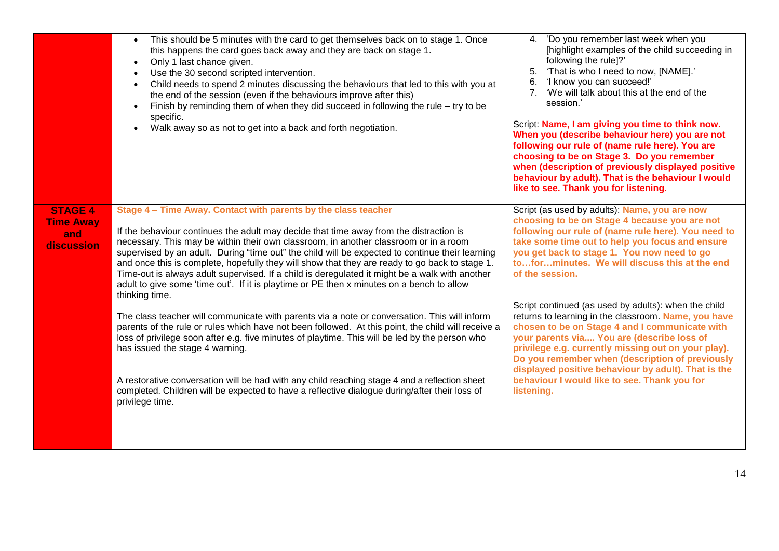|                                                         | This should be 5 minutes with the card to get themselves back on to stage 1. Once<br>$\bullet$<br>this happens the card goes back away and they are back on stage 1.<br>Only 1 last chance given.<br>$\bullet$<br>Use the 30 second scripted intervention.<br>Child needs to spend 2 minutes discussing the behaviours that led to this with you at<br>the end of the session (even if the behaviours improve after this)<br>Finish by reminding them of when they did succeed in following the rule $-$ try to be<br>specific.<br>Walk away so as not to get into a back and forth negotiation.<br>$\bullet$                                                                                                                                                                                                                                                                                                                                                                                                                                                                                                                                                                                                                          | 4. 'Do you remember last week when you<br>[highlight examples of the child succeeding in<br>following the rule]?'<br>'That is who I need to now, [NAME].'<br>5.<br>'I know you can succeed!'<br>6.<br>'We will talk about this at the end of the<br>7.<br>session.'<br>Script: Name, I am giving you time to think now.<br>When you (describe behaviour here) you are not<br>following our rule of (name rule here). You are<br>choosing to be on Stage 3. Do you remember<br>when (description of previously displayed positive<br>behaviour by adult). That is the behaviour I would<br>like to see. Thank you for listening.                                                                                                                                            |
|---------------------------------------------------------|----------------------------------------------------------------------------------------------------------------------------------------------------------------------------------------------------------------------------------------------------------------------------------------------------------------------------------------------------------------------------------------------------------------------------------------------------------------------------------------------------------------------------------------------------------------------------------------------------------------------------------------------------------------------------------------------------------------------------------------------------------------------------------------------------------------------------------------------------------------------------------------------------------------------------------------------------------------------------------------------------------------------------------------------------------------------------------------------------------------------------------------------------------------------------------------------------------------------------------------|----------------------------------------------------------------------------------------------------------------------------------------------------------------------------------------------------------------------------------------------------------------------------------------------------------------------------------------------------------------------------------------------------------------------------------------------------------------------------------------------------------------------------------------------------------------------------------------------------------------------------------------------------------------------------------------------------------------------------------------------------------------------------|
| <b>STAGE 4</b><br><b>Time Away</b><br>and<br>discussion | Stage 4 - Time Away. Contact with parents by the class teacher<br>If the behaviour continues the adult may decide that time away from the distraction is<br>necessary. This may be within their own classroom, in another classroom or in a room<br>supervised by an adult. During "time out" the child will be expected to continue their learning<br>and once this is complete, hopefully they will show that they are ready to go back to stage 1.<br>Time-out is always adult supervised. If a child is deregulated it might be a walk with another<br>adult to give some 'time out'. If it is playtime or PE then x minutes on a bench to allow<br>thinking time.<br>The class teacher will communicate with parents via a note or conversation. This will inform<br>parents of the rule or rules which have not been followed. At this point, the child will receive a<br>loss of privilege soon after e.g. five minutes of playtime. This will be led by the person who<br>has issued the stage 4 warning.<br>A restorative conversation will be had with any child reaching stage 4 and a reflection sheet<br>completed. Children will be expected to have a reflective dialogue during/after their loss of<br>privilege time. | Script (as used by adults): Name, you are now<br>choosing to be on Stage 4 because you are not<br>following our rule of (name rule here). You need to<br>take some time out to help you focus and ensure<br>you get back to stage 1. You now need to go<br>toforminutes. We will discuss this at the end<br>of the session.<br>Script continued (as used by adults): when the child<br>returns to learning in the classroom. Name, you have<br>chosen to be on Stage 4 and I communicate with<br>your parents via You are (describe loss of<br>privilege e.g. currently missing out on your play).<br>Do you remember when (description of previously<br>displayed positive behaviour by adult). That is the<br>behaviour I would like to see. Thank you for<br>listening. |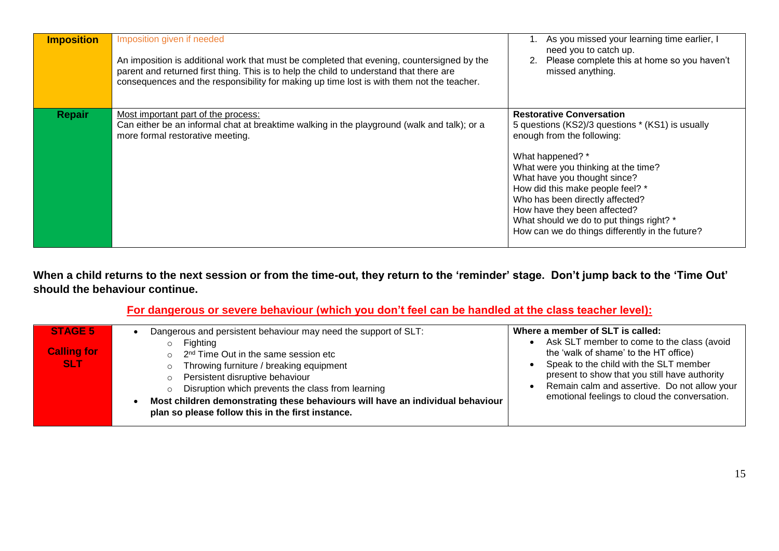| <b>Imposition</b> | Imposition given if needed<br>An imposition is additional work that must be completed that evening, countersigned by the<br>parent and returned first thing. This is to help the child to understand that there are<br>consequences and the responsibility for making up time lost is with them not the teacher. | As you missed your learning time earlier, I<br>need you to catch up.<br>Please complete this at home so you haven't<br>missed anything.                                                                                                                                                                                                                                                                            |
|-------------------|------------------------------------------------------------------------------------------------------------------------------------------------------------------------------------------------------------------------------------------------------------------------------------------------------------------|--------------------------------------------------------------------------------------------------------------------------------------------------------------------------------------------------------------------------------------------------------------------------------------------------------------------------------------------------------------------------------------------------------------------|
| Repair            | Most important part of the process:<br>Can either be an informal chat at breaktime walking in the playground (walk and talk); or a<br>more formal restorative meeting.                                                                                                                                           | <b>Restorative Conversation</b><br>5 questions (KS2)/3 questions * (KS1) is usually<br>enough from the following:<br>What happened? *<br>What were you thinking at the time?<br>What have you thought since?<br>How did this make people feel? *<br>Who has been directly affected?<br>How have they been affected?<br>What should we do to put things right? *<br>How can we do things differently in the future? |

**When a child returns to the next session or from the time-out, they return to the 'reminder' stage. Don't jump back to the 'Time Out' should the behaviour continue.**

#### **For dangerous or severe behaviour (which you don't feel can be handled at the class teacher level):**

| <b>STAGE 5</b>                   | Dangerous and persistent behaviour may need the support of SLT:                                                                                                                                                                                                                                                                                              | Where a member of SLT is called:                                                                                                                                                                                                                                                             |
|----------------------------------|--------------------------------------------------------------------------------------------------------------------------------------------------------------------------------------------------------------------------------------------------------------------------------------------------------------------------------------------------------------|----------------------------------------------------------------------------------------------------------------------------------------------------------------------------------------------------------------------------------------------------------------------------------------------|
| <b>Calling for</b><br><b>SLT</b> | Fighting<br>2 <sup>nd</sup> Time Out in the same session etc<br>$\circ$<br>Throwing furniture / breaking equipment<br>$\circ$<br>Persistent disruptive behaviour<br>Disruption which prevents the class from learning<br>Most children demonstrating these behaviours will have an individual behaviour<br>plan so please follow this in the first instance. | Ask SLT member to come to the class (avoid<br>the 'walk of shame' to the HT office)<br>Speak to the child with the SLT member<br>$\bullet$<br>present to show that you still have authority<br>Remain calm and assertive. Do not allow your<br>emotional feelings to cloud the conversation. |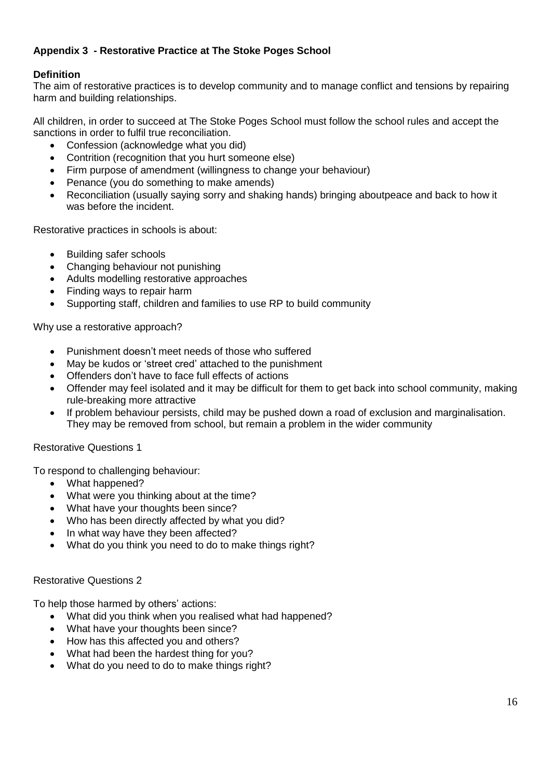#### **Appendix 3 - Restorative Practice at The Stoke Poges School**

#### **Definition**

The aim of restorative practices is to develop community and to manage conflict and tensions by repairing harm and building relationships.

All children, in order to succeed at The Stoke Poges School must follow the school rules and accept the sanctions in order to fulfil true reconciliation.

- Confession (acknowledge what you did)
- Contrition (recognition that you hurt someone else)
- Firm purpose of amendment (willingness to change your behaviour)
- Penance (you do something to make amends)
- Reconciliation (usually saying sorry and shaking hands) bringing aboutpeace and back to how it was before the incident.

Restorative practices in schools is about:

- Building safer schools
- Changing behaviour not punishing
- Adults modelling restorative approaches
- Finding ways to repair harm
- Supporting staff, children and families to use RP to build community

Why use a restorative approach?

- Punishment doesn't meet needs of those who suffered
- May be kudos or 'street cred' attached to the punishment
- Offenders don't have to face full effects of actions
- Offender may feel isolated and it may be difficult for them to get back into school community, making rule-breaking more attractive
- If problem behaviour persists, child may be pushed down a road of exclusion and marginalisation. They may be removed from school, but remain a problem in the wider community

#### Restorative Questions 1

To respond to challenging behaviour:

- What happened?
- What were you thinking about at the time?
- What have your thoughts been since?
- Who has been directly affected by what you did?
- In what way have they been affected?
- What do you think you need to do to make things right?

#### Restorative Questions 2

To help those harmed by others' actions:

- What did you think when you realised what had happened?
- What have your thoughts been since?
- How has this affected you and others?
- What had been the hardest thing for you?
- What do you need to do to make things right?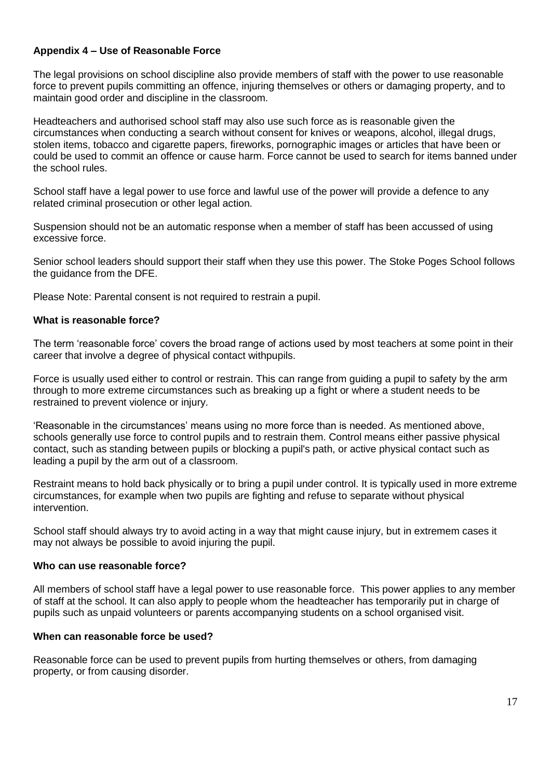#### **Appendix 4 – Use of Reasonable Force**

The legal provisions on school discipline also provide members of staff with the power to use reasonable force to prevent pupils committing an offence, injuring themselves or others or damaging property, and to maintain good order and discipline in the classroom.

Headteachers and authorised school staff may also use such force as is reasonable given the circumstances when conducting a search without consent for knives or weapons, alcohol, illegal drugs, stolen items, tobacco and cigarette papers, fireworks, pornographic images or articles that have been or could be used to commit an offence or cause harm. Force cannot be used to search for items banned under the school rules.

School staff have a legal power to use force and lawful use of the power will provide a defence to any related criminal prosecution or other legal action.

Suspension should not be an automatic response when a member of staff has been accussed of using excessive force.

Senior school leaders should support their staff when they use this power. The Stoke Poges School follows the guidance from the DFE.

Please Note: Parental consent is not required to restrain a pupil.

#### **What is reasonable force?**

The term 'reasonable force' covers the broad range of actions used by most teachers at some point in their career that involve a degree of physical contact withpupils.

Force is usually used either to control or restrain. This can range from guiding a pupil to safety by the arm through to more extreme circumstances such as breaking up a fight or where a student needs to be restrained to prevent violence or injury.

'Reasonable in the circumstances' means using no more force than is needed. As mentioned above, schools generally use force to control pupils and to restrain them. Control means either passive physical contact, such as standing between pupils or blocking a pupil's path, or active physical contact such as leading a pupil by the arm out of a classroom.

Restraint means to hold back physically or to bring a pupil under control. It is typically used in more extreme circumstances, for example when two pupils are fighting and refuse to separate without physical intervention.

School staff should always try to avoid acting in a way that might cause injury, but in extremem cases it may not always be possible to avoid injuring the pupil.

#### **Who can use reasonable force?**

All members of school staff have a legal power to use reasonable force. This power applies to any member of staff at the school. It can also apply to people whom the headteacher has temporarily put in charge of pupils such as unpaid volunteers or parents accompanying students on a school organised visit.

#### **When can reasonable force be used?**

Reasonable force can be used to prevent pupils from hurting themselves or others, from damaging property, or from causing disorder.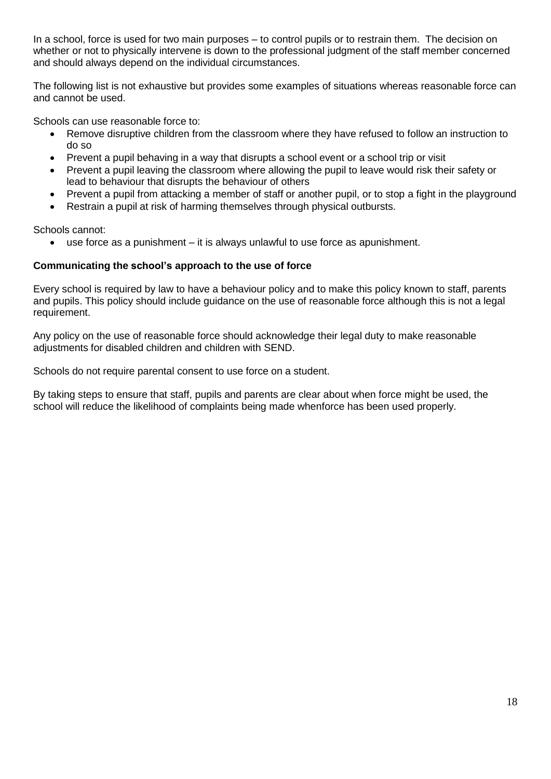In a school, force is used for two main purposes – to control pupils or to restrain them. The decision on whether or not to physically intervene is down to the professional judgment of the staff member concerned and should always depend on the individual circumstances.

The following list is not exhaustive but provides some examples of situations whereas reasonable force can and cannot be used.

Schools can use reasonable force to:

- Remove disruptive children from the classroom where they have refused to follow an instruction to do so
- Prevent a pupil behaving in a way that disrupts a school event or a school trip or visit
- Prevent a pupil leaving the classroom where allowing the pupil to leave would risk their safety or lead to behaviour that disrupts the behaviour of others
- Prevent a pupil from attacking a member of staff or another pupil, or to stop a fight in the playground
- Restrain a pupil at risk of harming themselves through physical outbursts.

Schools cannot:

• use force as a punishment – it is always unlawful to use force as apunishment.

#### **Communicating the school's approach to the use of force**

Every school is required by law to have a behaviour policy and to make this policy known to staff, parents and pupils. This policy should include guidance on the use of reasonable force although this is not a legal requirement.

Any policy on the use of reasonable force should acknowledge their legal duty to make reasonable adjustments for disabled children and children with SEND.

Schools do not require parental consent to use force on a student.

By taking steps to ensure that staff, pupils and parents are clear about when force might be used, the school will reduce the likelihood of complaints being made whenforce has been used properly.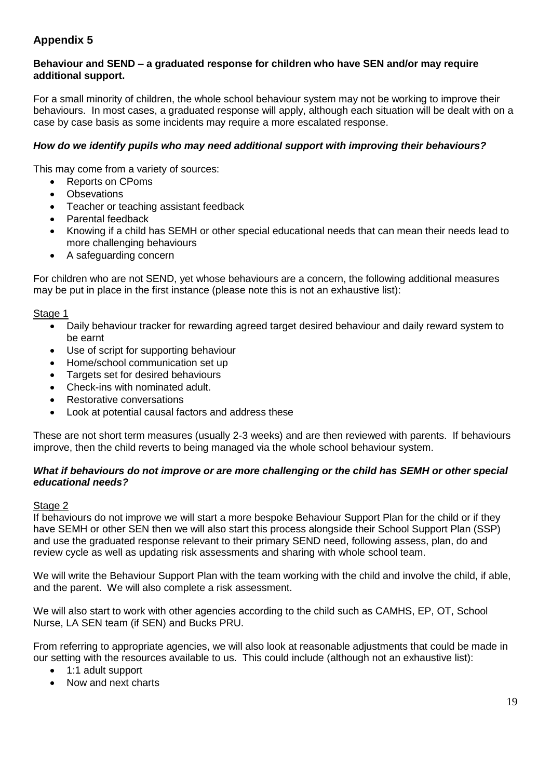#### **Appendix 5**

#### **Behaviour and SEND – a graduated response for children who have SEN and/or may require additional support.**

For a small minority of children, the whole school behaviour system may not be working to improve their behaviours. In most cases, a graduated response will apply, although each situation will be dealt with on a case by case basis as some incidents may require a more escalated response.

#### *How do we identify pupils who may need additional support with improving their behaviours?*

This may come from a variety of sources:

- Reports on CPoms
- **Obsevations**
- Teacher or teaching assistant feedback
- Parental feedback
- Knowing if a child has SEMH or other special educational needs that can mean their needs lead to more challenging behaviours
- A safeguarding concern

For children who are not SEND, yet whose behaviours are a concern, the following additional measures may be put in place in the first instance (please note this is not an exhaustive list):

#### Stage 1

- Daily behaviour tracker for rewarding agreed target desired behaviour and daily reward system to be earnt
- Use of script for supporting behaviour
- Home/school communication set up
- Targets set for desired behaviours
- Check-ins with nominated adult.
- Restorative conversations
- Look at potential causal factors and address these

These are not short term measures (usually 2-3 weeks) and are then reviewed with parents. If behaviours improve, then the child reverts to being managed via the whole school behaviour system.

#### *What if behaviours do not improve or are more challenging or the child has SEMH or other special educational needs?*

#### Stage 2

If behaviours do not improve we will start a more bespoke Behaviour Support Plan for the child or if they have SEMH or other SEN then we will also start this process alongside their School Support Plan (SSP) and use the graduated response relevant to their primary SEND need, following assess, plan, do and review cycle as well as updating risk assessments and sharing with whole school team.

We will write the Behaviour Support Plan with the team working with the child and involve the child, if able, and the parent. We will also complete a risk assessment.

We will also start to work with other agencies according to the child such as CAMHS, EP, OT, School Nurse, LA SEN team (if SEN) and Bucks PRU.

From referring to appropriate agencies, we will also look at reasonable adjustments that could be made in our setting with the resources available to us. This could include (although not an exhaustive list):

- 1:1 adult support
- Now and next charts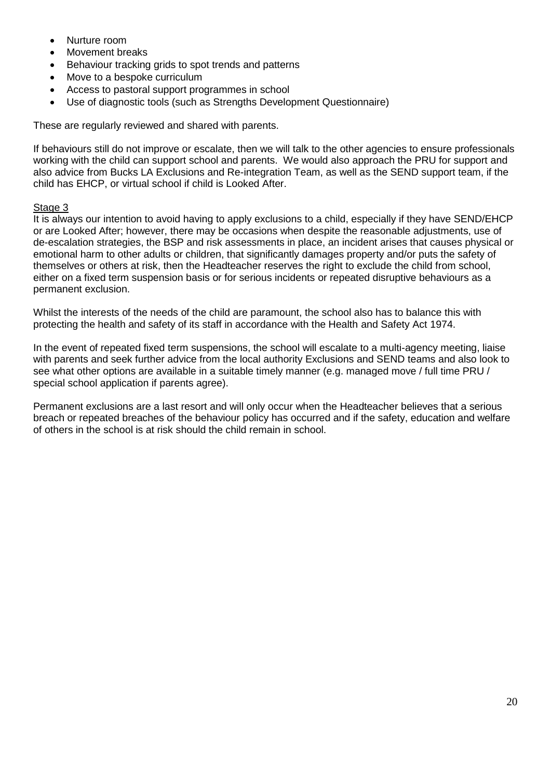- Nurture room
- Movement breaks
- Behaviour tracking grids to spot trends and patterns
- Move to a bespoke curriculum
- Access to pastoral support programmes in school
- Use of diagnostic tools (such as Strengths Development Questionnaire)

These are regularly reviewed and shared with parents.

If behaviours still do not improve or escalate, then we will talk to the other agencies to ensure professionals working with the child can support school and parents. We would also approach the PRU for support and also advice from Bucks LA Exclusions and Re-integration Team, as well as the SEND support team, if the child has EHCP, or virtual school if child is Looked After.

#### Stage 3

It is always our intention to avoid having to apply exclusions to a child, especially if they have SEND/EHCP or are Looked After; however, there may be occasions when despite the reasonable adjustments, use of de-escalation strategies, the BSP and risk assessments in place, an incident arises that causes physical or emotional harm to other adults or children, that significantly damages property and/or puts the safety of themselves or others at risk, then the Headteacher reserves the right to exclude the child from school, either on a fixed term suspension basis or for serious incidents or repeated disruptive behaviours as a permanent exclusion.

Whilst the interests of the needs of the child are paramount, the school also has to balance this with protecting the health and safety of its staff in accordance with the Health and Safety Act 1974.

In the event of repeated fixed term suspensions, the school will escalate to a multi-agency meeting, liaise with parents and seek further advice from the local authority Exclusions and SEND teams and also look to see what other options are available in a suitable timely manner (e.g. managed move / full time PRU / special school application if parents agree).

Permanent exclusions are a last resort and will only occur when the Headteacher believes that a serious breach or repeated breaches of the behaviour policy has occurred and if the safety, education and welfare of others in the school is at risk should the child remain in school.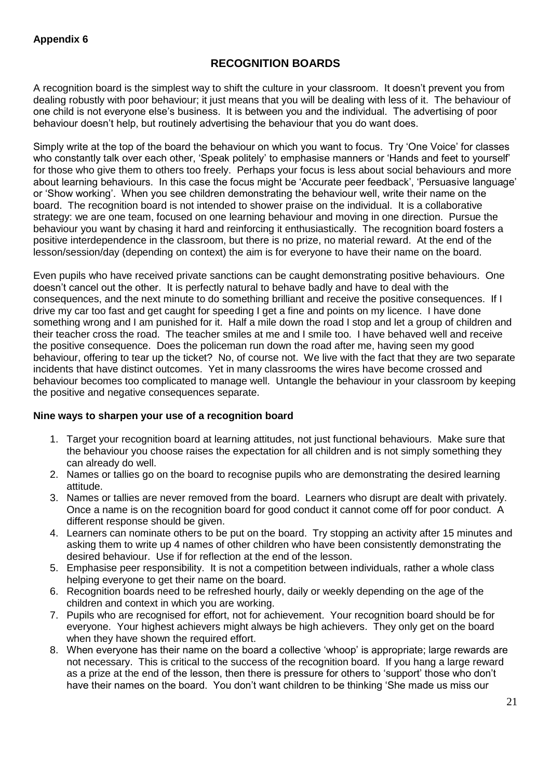#### **RECOGNITION BOARDS**

A recognition board is the simplest way to shift the culture in your classroom. It doesn't prevent you from dealing robustly with poor behaviour; it just means that you will be dealing with less of it. The behaviour of one child is not everyone else's business. It is between you and the individual. The advertising of poor behaviour doesn't help, but routinely advertising the behaviour that you do want does.

Simply write at the top of the board the behaviour on which you want to focus. Try 'One Voice' for classes who constantly talk over each other, 'Speak politely' to emphasise manners or 'Hands and feet to yourself' for those who give them to others too freely. Perhaps your focus is less about social behaviours and more about learning behaviours. In this case the focus might be 'Accurate peer feedback', 'Persuasive language' or 'Show working'. When you see children demonstrating the behaviour well, write their name on the board. The recognition board is not intended to shower praise on the individual. It is a collaborative strategy: we are one team, focused on one learning behaviour and moving in one direction. Pursue the behaviour you want by chasing it hard and reinforcing it enthusiastically. The recognition board fosters a positive interdependence in the classroom, but there is no prize, no material reward. At the end of the lesson/session/day (depending on context) the aim is for everyone to have their name on the board.

Even pupils who have received private sanctions can be caught demonstrating positive behaviours. One doesn't cancel out the other. It is perfectly natural to behave badly and have to deal with the consequences, and the next minute to do something brilliant and receive the positive consequences. If I drive my car too fast and get caught for speeding I get a fine and points on my licence. I have done something wrong and I am punished for it. Half a mile down the road I stop and let a group of children and their teacher cross the road. The teacher smiles at me and I smile too. I have behaved well and receive the positive consequence. Does the policeman run down the road after me, having seen my good behaviour, offering to tear up the ticket? No, of course not. We live with the fact that they are two separate incidents that have distinct outcomes. Yet in many classrooms the wires have become crossed and behaviour becomes too complicated to manage well. Untangle the behaviour in your classroom by keeping the positive and negative consequences separate.

#### **Nine ways to sharpen your use of a recognition board**

- 1. Target your recognition board at learning attitudes, not just functional behaviours. Make sure that the behaviour you choose raises the expectation for all children and is not simply something they can already do well.
- 2. Names or tallies go on the board to recognise pupils who are demonstrating the desired learning attitude.
- 3. Names or tallies are never removed from the board. Learners who disrupt are dealt with privately. Once a name is on the recognition board for good conduct it cannot come off for poor conduct. A different response should be given.
- 4. Learners can nominate others to be put on the board. Try stopping an activity after 15 minutes and asking them to write up 4 names of other children who have been consistently demonstrating the desired behaviour. Use if for reflection at the end of the lesson.
- 5. Emphasise peer responsibility. It is not a competition between individuals, rather a whole class helping everyone to get their name on the board.
- 6. Recognition boards need to be refreshed hourly, daily or weekly depending on the age of the children and context in which you are working.
- 7. Pupils who are recognised for effort, not for achievement. Your recognition board should be for everyone. Your highest achievers might always be high achievers. They only get on the board when they have shown the required effort.
- 8. When everyone has their name on the board a collective 'whoop' is appropriate; large rewards are not necessary. This is critical to the success of the recognition board. If you hang a large reward as a prize at the end of the lesson, then there is pressure for others to 'support' those who don't have their names on the board. You don't want children to be thinking 'She made us miss our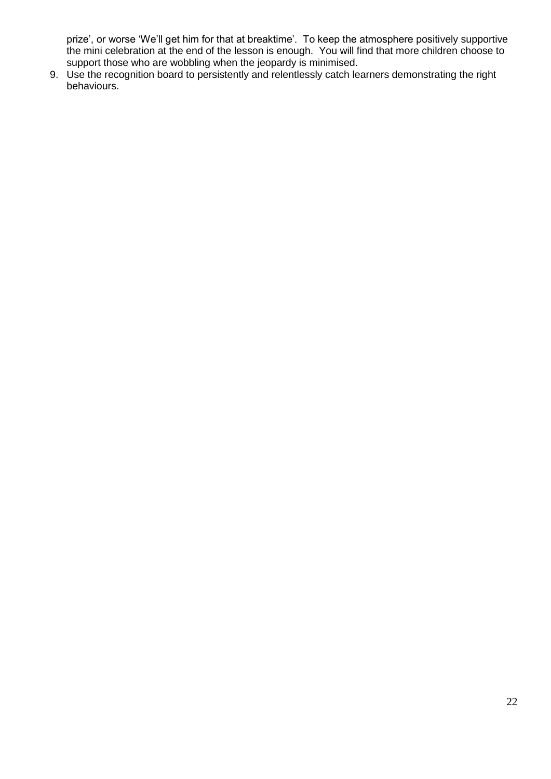prize', or worse 'We'll get him for that at breaktime'. To keep the atmosphere positively supportive the mini celebration at the end of the lesson is enough. You will find that more children choose to support those who are wobbling when the jeopardy is minimised.

9. Use the recognition board to persistently and relentlessly catch learners demonstrating the right behaviours.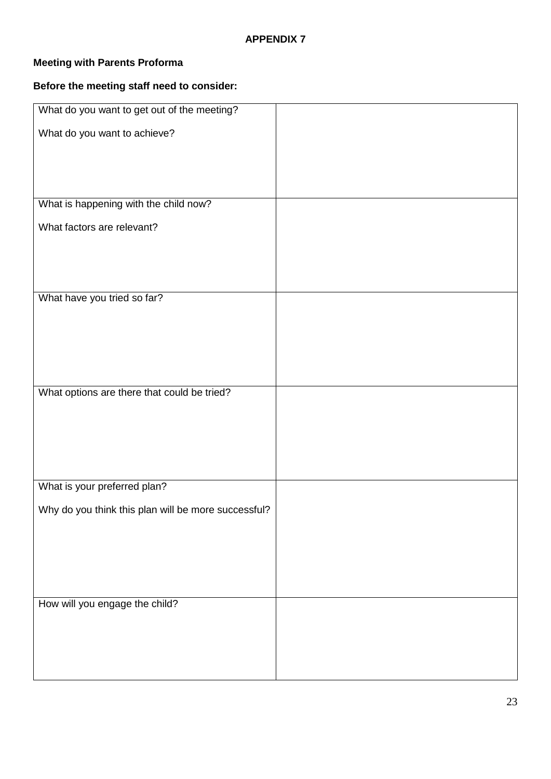## **Meeting with Parents Proforma**

#### **Before the meeting staff need to consider:**

| What do you want to get out of the meeting?         |  |
|-----------------------------------------------------|--|
| What do you want to achieve?                        |  |
|                                                     |  |
|                                                     |  |
| What is happening with the child now?               |  |
|                                                     |  |
| What factors are relevant?                          |  |
|                                                     |  |
|                                                     |  |
| What have you tried so far?                         |  |
|                                                     |  |
|                                                     |  |
|                                                     |  |
|                                                     |  |
| What options are there that could be tried?         |  |
|                                                     |  |
|                                                     |  |
|                                                     |  |
| What is your preferred plan?                        |  |
|                                                     |  |
| Why do you think this plan will be more successful? |  |
|                                                     |  |
|                                                     |  |
|                                                     |  |
| How will you engage the child?                      |  |
|                                                     |  |
|                                                     |  |
|                                                     |  |
|                                                     |  |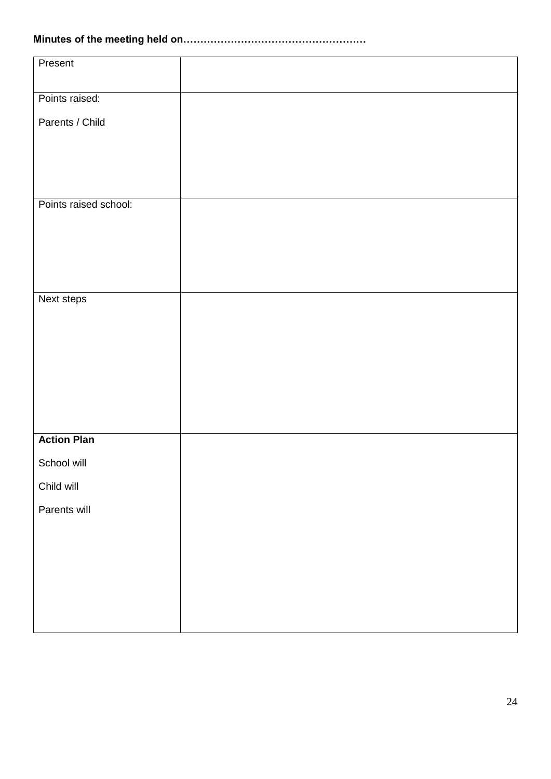## **Minutes of the meeting held on………………………………………………**

| Present               |  |
|-----------------------|--|
| Points raised:        |  |
| Parents / Child       |  |
|                       |  |
|                       |  |
|                       |  |
| Points raised school: |  |
|                       |  |
|                       |  |
|                       |  |
|                       |  |
| Next steps            |  |
|                       |  |
|                       |  |
|                       |  |
|                       |  |
|                       |  |
|                       |  |
| <b>Action Plan</b>    |  |
| School will           |  |
| Child will            |  |
| Parents will          |  |
|                       |  |
|                       |  |
|                       |  |
|                       |  |
|                       |  |
|                       |  |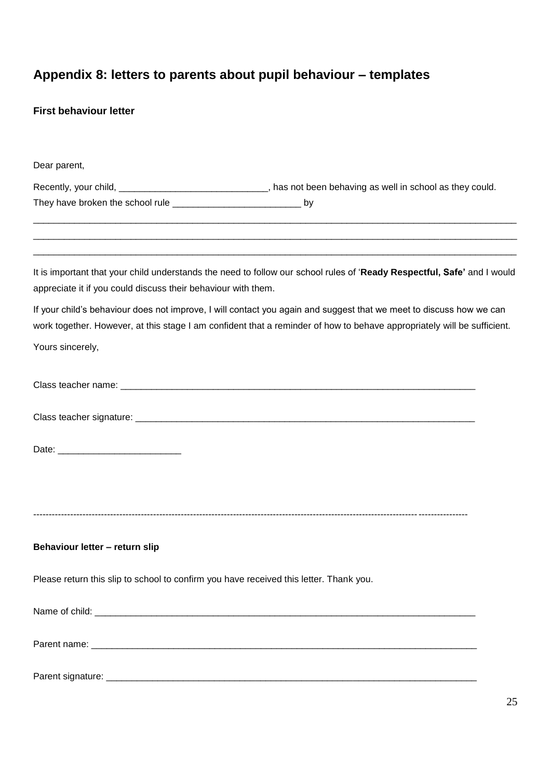## **Appendix 8: letters to parents about pupil behaviour – templates**

### **First behaviour letter**

| Dear parent,                                                                           |                                                                                                                                                                                                                                                |
|----------------------------------------------------------------------------------------|------------------------------------------------------------------------------------------------------------------------------------------------------------------------------------------------------------------------------------------------|
|                                                                                        | Recently, your child, _________________________________, has not been behaving as well in school as they could.                                                                                                                                |
|                                                                                        |                                                                                                                                                                                                                                                |
|                                                                                        |                                                                                                                                                                                                                                                |
| appreciate it if you could discuss their behaviour with them.                          | It is important that your child understands the need to follow our school rules of 'Ready Respectful, Safe' and I would                                                                                                                        |
|                                                                                        | If your child's behaviour does not improve, I will contact you again and suggest that we meet to discuss how we can<br>work together. However, at this stage I am confident that a reminder of how to behave appropriately will be sufficient. |
| Yours sincerely,                                                                       |                                                                                                                                                                                                                                                |
|                                                                                        |                                                                                                                                                                                                                                                |
|                                                                                        |                                                                                                                                                                                                                                                |
|                                                                                        |                                                                                                                                                                                                                                                |
|                                                                                        |                                                                                                                                                                                                                                                |
|                                                                                        |                                                                                                                                                                                                                                                |
| Behaviour letter - return slip                                                         |                                                                                                                                                                                                                                                |
| Please return this slip to school to confirm you have received this letter. Thank you. |                                                                                                                                                                                                                                                |
|                                                                                        |                                                                                                                                                                                                                                                |
|                                                                                        |                                                                                                                                                                                                                                                |
|                                                                                        |                                                                                                                                                                                                                                                |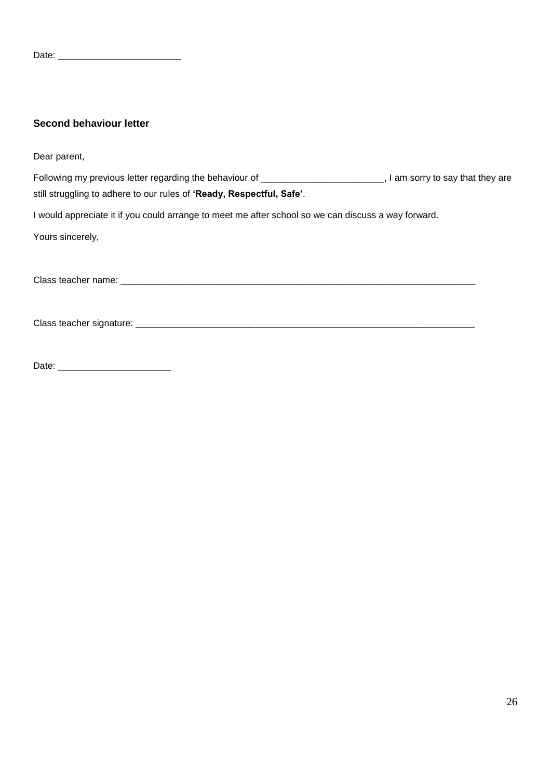| I<br>$\sim$<br>$\sim$<br>×<br>×<br>۰. |  |
|---------------------------------------|--|

#### **Second behaviour letter**

Date: \_\_\_\_\_\_\_\_\_\_\_\_\_\_\_\_\_\_\_\_\_\_\_\_

Dear parent,

| still struggling to adhere to our rules of 'Ready, Respectful, Safe'.                                                                                                                                                          |  |
|--------------------------------------------------------------------------------------------------------------------------------------------------------------------------------------------------------------------------------|--|
| I would appreciate it if you could arrange to meet me after school so we can discuss a way forward.                                                                                                                            |  |
| Yours sincerely,                                                                                                                                                                                                               |  |
|                                                                                                                                                                                                                                |  |
| Class teacher signature: example and all the control of the control of the control of the control of the control of the control of the control of the control of the control of the control of the control of the control of t |  |
|                                                                                                                                                                                                                                |  |

Date: \_\_\_\_\_\_\_\_\_\_\_\_\_\_\_\_\_\_\_\_\_\_